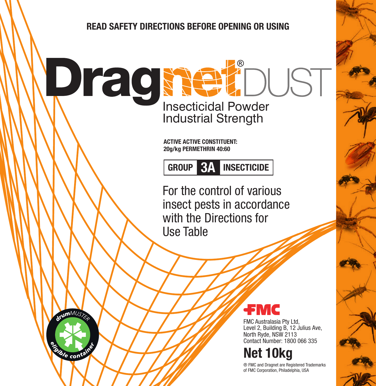## **READ SAFETY DIRECTIONS BEFORE OPENING OR USING**

**Pragmeticidal Powder** Industrial Strength

> **ACTIVE ACTIVE CONSTITUENT: 20g/kg PERMETHRIN 40:60**

**GROUP 3A INSECTICIDE**

For the control of various insect pests in accordance with the Directions for Use Table



conta



FMC Australasia Pty Ltd, Level 2, Building B, 12 Julius Ave, North Ryde, NSW 2113 Contact Number: 1800 066 335

# **Net 10kg**

® FMC and Dragnet are Registered Trademarks of FMC Corporation, Philadelphia, USA